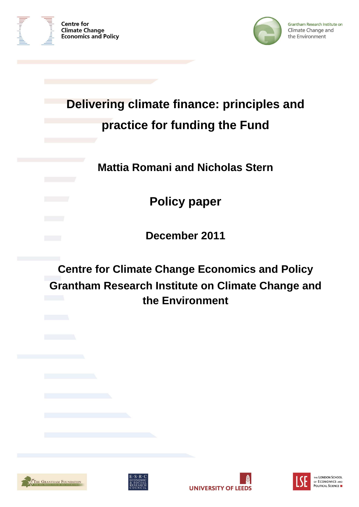



# **Delivering climate finance: principles and practice for funding the Fund**

**Mattia Romani and Nicholas Stern** 

**Policy paper** 

**December 2011** 

**Centre for Climate Change Economics and Policy Grantham Research Institute on Climate Change and the Environment** 







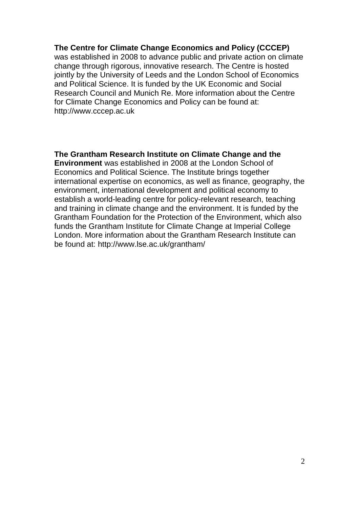#### **The Centre for Climate Change Economics and Policy (CCCEP)**

was established in 2008 to advance public and private action on climate change through rigorous, innovative research. The Centre is hosted jointly by the University of Leeds and the London School of Economics and Political Science. It is funded by the UK Economic and Social Research Council and Munich Re. More information about the Centre for Climate Change Economics and Policy can be found at: http://www.cccep.ac.uk

## **The Grantham Research Institute on Climate Change and the**

**Environment** was established in 2008 at the London School of Economics and Political Science. The Institute brings together international expertise on economics, as well as finance, geography, the environment, international development and political economy to establish a world-leading centre for policy-relevant research, teaching and training in climate change and the environment. It is funded by the Grantham Foundation for the Protection of the Environment, which also funds the Grantham Institute for Climate Change at Imperial College London. More information about the Grantham Research Institute can be found at: http://www.lse.ac.uk/grantham/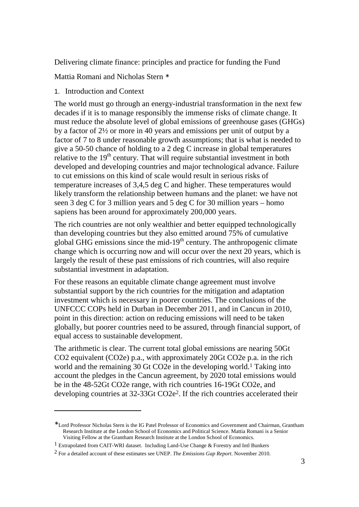Delivering climate finance: principles and practice for funding the Fund

Mattia Romani and Nicholas Stern <sup>∗</sup>

1. Introduction and Context

 $\overline{a}$ 

The world must go through an energy-industrial transformation in the next few decades if it is to manage responsibly the immense risks of climate change. It must reduce the absolute level of global emissions of greenhouse gases (GHGs) by a factor of 2½ or more in 40 years and emissions per unit of output by a factor of 7 to 8 under reasonable growth assumptions; that is what is needed to give a 50-50 chance of holding to a 2 deg C increase in global temperatures relative to the  $19<sup>th</sup>$  century. That will require substantial investment in both developed and developing countries and major technological advance. Failure to cut emissions on this kind of scale would result in serious risks of temperature increases of 3,4,5 deg C and higher. These temperatures would likely transform the relationship between humans and the planet: we have not seen 3 deg C for 3 million years and 5 deg C for 30 million years – homo sapiens has been around for approximately 200,000 years.

The rich countries are not only wealthier and better equipped technologically than developing countries but they also emitted around 75% of cumulative global GHG emissions since the mid-19<sup>th</sup> century. The anthropogenic climate change which is occurring now and will occur over the next 20 years, which is largely the result of these past emissions of rich countries, will also require substantial investment in adaptation.

For these reasons an equitable climate change agreement must involve substantial support by the rich countries for the mitigation and adaptation investment which is necessary in poorer countries. The conclusions of the UNFCCC COPs held in Durban in December 2011, and in Cancun in 2010, point in this direction: action on reducing emissions will need to be taken globally, but poorer countries need to be assured, through financial support, of equal access to sustainable development.

The arithmetic is clear. The current total global emissions are nearing 50Gt CO2 equivalent (CO2e) p.a., with approximately 20Gt CO2e p.a. in the rich world and the remaining 30 Gt CO2e in the developing world.1 Taking into account the pledges in the Cancun agreement, by 2020 total emissions would be in the 48-52Gt CO2e range, with rich countries 16-19Gt CO2e, and developing countries at 32-33Gt CO2e2. If the rich countries accelerated their

<sup>∗</sup> Lord Professor Nicholas Stern is the IG Patel Professor of Economics and Government and Chairman, Grantham Research Institute at the London School of Economics and Political Science. Mattia Romani is a Senior Visiting Fellow at the Grantham Research Institute at the London School of Economics.

<sup>1</sup> Extrapolated from CAIT-WRI dataset. Including Land-Use Change & Forestry and Intl Bunkers

<sup>2</sup> For a detailed account of these estimates see UNEP. *The Emissions Gap Report*. November 2010.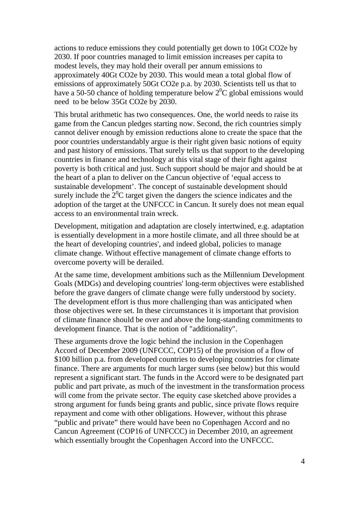actions to reduce emissions they could potentially get down to 10Gt CO2e by 2030. If poor countries managed to limit emission increases per capita to modest levels, they may hold their overall per annum emissions to approximately 40Gt CO2e by 2030. This would mean a total global flow of emissions of approximately 50Gt CO2e p.a. by 2030. Scientists tell us that to have a 50-50 chance of holding temperature below  $2^{0}C$  global emissions would need to be below 35Gt CO2e by 2030.

This brutal arithmetic has two consequences. One, the world needs to raise its game from the Cancun pledges starting now. Second, the rich countries simply cannot deliver enough by emission reductions alone to create the space that the poor countries understandably argue is their right given basic notions of equity and past history of emissions. That surely tells us that support to the developing countries in finance and technology at this vital stage of their fight against poverty is both critical and just. Such support should be major and should be at the heart of a plan to deliver on the Cancun objective of 'equal access to sustainable development'. The concept of sustainable development should surely include the  $2^{0}C$  target given the dangers the science indicates and the adoption of the target at the UNFCCC in Cancun. It surely does not mean equal access to an environmental train wreck.

Development, mitigation and adaptation are closely intertwined, e.g. adaptation is essentially development in a more hostile climate, and all three should be at the heart of developing countries', and indeed global, policies to manage climate change. Without effective management of climate change efforts to overcome poverty will be derailed.

At the same time, development ambitions such as the Millennium Development Goals (MDGs) and developing countries' long-term objectives were established before the grave dangers of climate change were fully understood by society. The development effort is thus more challenging than was anticipated when those objectives were set. In these circumstances it is important that provision of climate finance should be over and above the long-standing commitments to development finance. That is the notion of "additionality".

These arguments drove the logic behind the inclusion in the Copenhagen Accord of December 2009 (UNFCCC, COP15) of the provision of a flow of \$100 billion p.a. from developed countries to developing countries for climate finance. There are arguments for much larger sums (see below) but this would represent a significant start. The funds in the Accord were to be designated part public and part private, as much of the investment in the transformation process will come from the private sector. The equity case sketched above provides a strong argument for funds being grants and public, since private flows require repayment and come with other obligations. However, without this phrase "public and private" there would have been no Copenhagen Accord and no Cancun Agreement (COP16 of UNFCCC) in December 2010, an agreement which essentially brought the Copenhagen Accord into the UNFCCC.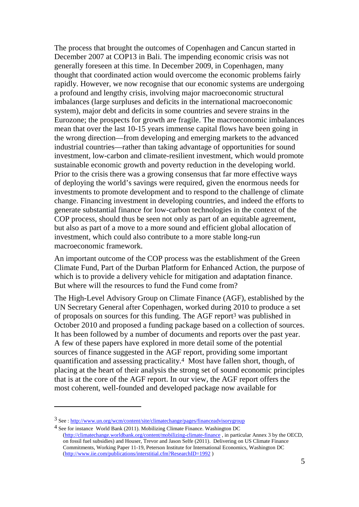The process that brought the outcomes of Copenhagen and Cancun started in December 2007 at COP13 in Bali. The impending economic crisis was not generally foreseen at this time. In December 2009, in Copenhagen, many thought that coordinated action would overcome the economic problems fairly rapidly. However, we now recognise that our economic systems are undergoing a profound and lengthy crisis, involving major macroeconomic structural imbalances (large surpluses and deficits in the international macroeconomic system), major debt and deficits in some countries and severe strains in the Eurozone; the prospects for growth are fragile. The macroeconomic imbalances mean that over the last 10-15 years immense capital flows have been going in the wrong direction—from developing and emerging markets to the advanced industrial countries—rather than taking advantage of opportunities for sound investment, low-carbon and climate-resilient investment, which would promote sustainable economic growth and poverty reduction in the developing world. Prior to the crisis there was a growing consensus that far more effective ways of deploying the world's savings were required, given the enormous needs for investments to promote development and to respond to the challenge of climate change. Financing investment in developing countries, and indeed the efforts to generate substantial finance for low-carbon technologies in the context of the COP process, should thus be seen not only as part of an equitable agreement, but also as part of a move to a more sound and efficient global allocation of investment, which could also contribute to a more stable long-run macroeconomic framework.

An important outcome of the COP process was the establishment of the Green Climate Fund, Part of the Durban Platform for Enhanced Action, the purpose of which is to provide a delivery vehicle for mitigation and adaptation finance. But where will the resources to fund the Fund come from?

The High-Level Advisory Group on Climate Finance (AGF), established by the UN Secretary General after Copenhagen, worked during 2010 to produce a set of proposals on sources for this funding. The AGF report3 was published in October 2010 and proposed a funding package based on a collection of sources. It has been followed by a number of documents and reports over the past year. A few of these papers have explored in more detail some of the potential sources of finance suggested in the AGF report, providing some important quantification and assessing practicality.4 Most have fallen short, though, of placing at the heart of their analysis the strong set of sound economic principles that is at the core of the AGF report. In our view, the AGF report offers the most coherent, well-founded and developed package now available for

<sup>3</sup> See : http://www.un.org/wcm/content/site/climatechange/pages/financeadvisorygroup

<sup>4</sup> See for instance World Bank (2011). Mobilizing Climate Finance. Washington DC (http://climatechange.worldbank.org/content/mobilizing-climate-finance , in particular Annex 3 by the OECD, on fossil fuel subsidies) and Houser, Trevor and Jason Selfe (2011). Delivering on US Climate Finance Commitments, Working Paper 11-19, Peterson Institute for International Economics, Washington DC (http://www.iie.com/publications/interstitial.cfm?ResearchID=1992 )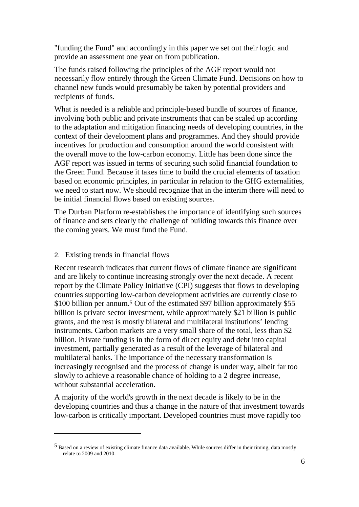"funding the Fund" and accordingly in this paper we set out their logic and provide an assessment one year on from publication.

The funds raised following the principles of the AGF report would not necessarily flow entirely through the Green Climate Fund. Decisions on how to channel new funds would presumably be taken by potential providers and recipients of funds.

What is needed is a reliable and principle-based bundle of sources of finance, involving both public and private instruments that can be scaled up according to the adaptation and mitigation financing needs of developing countries, in the context of their development plans and programmes. And they should provide incentives for production and consumption around the world consistent with the overall move to the low-carbon economy. Little has been done since the AGF report was issued in terms of securing such solid financial foundation to the Green Fund. Because it takes time to build the crucial elements of taxation based on economic principles, in particular in relation to the GHG externalities, we need to start now. We should recognize that in the interim there will need to be initial financial flows based on existing sources.

The Durban Platform re-establishes the importance of identifying such sources of finance and sets clearly the challenge of building towards this finance over the coming years. We must fund the Fund.

#### 2. Existing trends in financial flows

 $\overline{a}$ 

Recent research indicates that current flows of climate finance are significant and are likely to continue increasing strongly over the next decade. A recent report by the Climate Policy Initiative (CPI) suggests that flows to developing countries supporting low-carbon development activities are currently close to \$100 billion per annum.<sup>5</sup> Out of the estimated \$97 billion approximately \$55 billion is private sector investment, while approximately \$21 billion is public grants, and the rest is mostly bilateral and multilateral institutions' lending instruments. Carbon markets are a very small share of the total, less than \$2 billion. Private funding is in the form of direct equity and debt into capital investment, partially generated as a result of the leverage of bilateral and multilateral banks. The importance of the necessary transformation is increasingly recognised and the process of change is under way, albeit far too slowly to achieve a reasonable chance of holding to a 2 degree increase, without substantial acceleration.

A majority of the world's growth in the next decade is likely to be in the developing countries and thus a change in the nature of that investment towards low-carbon is critically important. Developed countries must move rapidly too

<sup>5</sup> Based on a review of existing climate finance data available. While sources differ in their timing, data mostly relate to 2009 and 2010.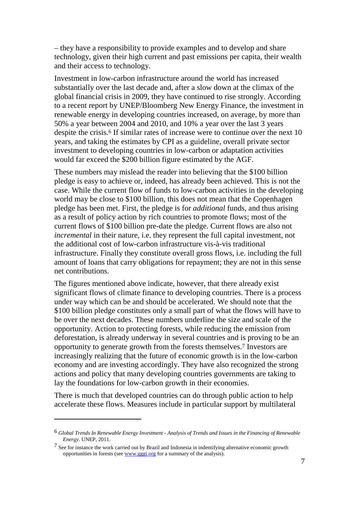– they have a responsibility to provide examples and to develop and share technology, given their high current and past emissions per capita, their wealth and their access to technology.

Investment in low-carbon infrastructure around the world has increased substantially over the last decade and, after a slow down at the climax of the global financial crisis in 2009, they have continued to rise strongly. According to a recent report by UNEP/Bloomberg New Energy Finance, the investment in renewable energy in developing countries increased, on average, by more than 50% a year between 2004 and 2010, and 10% a year over the last 3 years despite the crisis.<sup>6</sup> If similar rates of increase were to continue over the next 10 years, and taking the estimates by CPI as a guideline, overall private sector investment to developing countries in low-carbon or adaptation activities would far exceed the \$200 billion figure estimated by the AGF.

These numbers may mislead the reader into believing that the \$100 billion pledge is easy to achieve or, indeed, has already been achieved. This is not the case. While the current flow of funds to low-carbon activities in the developing world may be close to \$100 billion, this does not mean that the Copenhagen pledge has been met. First, the pledge is for *additional* funds, and thus arising as a result of policy action by rich countries to promote flows; most of the current flows of \$100 billion pre-date the pledge. Current flows are also not *incremental* in their nature, i.e. they represent the full capital investment, not the additional cost of low-carbon infrastructure vis-à-vis traditional infrastructure. Finally they constitute overall gross flows, i.e. including the full amount of loans that carry obligations for repayment; they are not in this sense net contributions.

The figures mentioned above indicate, however, that there already exist significant flows of climate finance to developing countries. There is a process under way which can be and should be accelerated. We should note that the \$100 billion pledge constitutes only a small part of what the flows will have to be over the next decades. These numbers underline the size and scale of the opportunity. Action to protecting forests, while reducing the emission from deforestation, is already underway in several countries and is proving to be an opportunity to generate growth from the forests themselves.7 Investors are increasingly realizing that the future of economic growth is in the low-carbon economy and are investing accordingly. They have also recognized the strong actions and policy that many developing countries governments are taking to lay the foundations for low-carbon growth in their economies.

There is much that developed countries can do through public action to help accelerate these flows. Measures include in particular support by multilateral

<sup>6</sup> *Global Trends In Renewable Energy Investment - Analysis of Trends and Issues in the Financing of Renewable Energy*. UNEP, 2011.

<sup>&</sup>lt;sup>7</sup> See for instance the work carried out by Brazil and Indonesia in indentifying alternative economic growth opportunities in forests (see www.gggi.org for a summary of the analysis).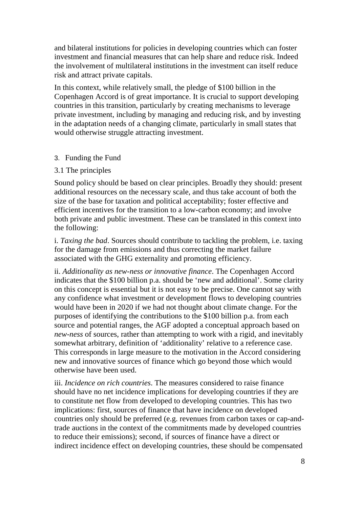and bilateral institutions for policies in developing countries which can foster investment and financial measures that can help share and reduce risk. Indeed the involvement of multilateral institutions in the investment can itself reduce risk and attract private capitals.

In this context, while relatively small, the pledge of \$100 billion in the Copenhagen Accord is of great importance. It is crucial to support developing countries in this transition, particularly by creating mechanisms to leverage private investment, including by managing and reducing risk, and by investing in the adaptation needs of a changing climate, particularly in small states that would otherwise struggle attracting investment.

#### 3. Funding the Fund

### 3.1 The principles

Sound policy should be based on clear principles. Broadly they should: present additional resources on the necessary scale, and thus take account of both the size of the base for taxation and political acceptability; foster effective and efficient incentives for the transition to a low-carbon economy; and involve both private and public investment. These can be translated in this context into the following:

i. *Taxing the bad*. Sources should contribute to tackling the problem, i.e. taxing for the damage from emissions and thus correcting the market failure associated with the GHG externality and promoting efficiency.

ii. *Additionality as new-ness or innovative finance*. The Copenhagen Accord indicates that the \$100 billion p.a. should be 'new and additional'. Some clarity on this concept is essential but it is not easy to be precise. One cannot say with any confidence what investment or development flows to developing countries would have been in 2020 if we had not thought about climate change. For the purposes of identifying the contributions to the \$100 billion p.a. from each source and potential ranges, the AGF adopted a conceptual approach based on *new-ness* of sources, rather than attempting to work with a rigid, and inevitably somewhat arbitrary, definition of 'additionality' relative to a reference case. This corresponds in large measure to the motivation in the Accord considering new and innovative sources of finance which go beyond those which would otherwise have been used.

iii. *Incidence on rich countries*. The measures considered to raise finance should have no net incidence implications for developing countries if they are to constitute net flow from developed to developing countries. This has two implications: first, sources of finance that have incidence on developed countries only should be preferred (e.g. revenues from carbon taxes or cap-andtrade auctions in the context of the commitments made by developed countries to reduce their emissions); second, if sources of finance have a direct or indirect incidence effect on developing countries, these should be compensated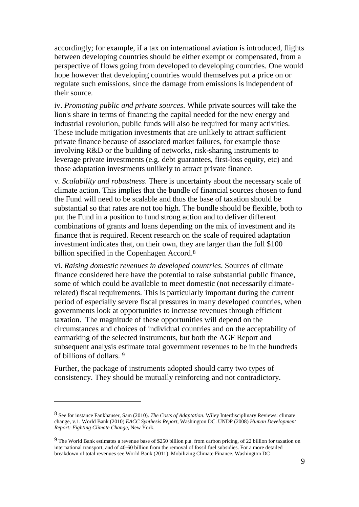accordingly; for example, if a tax on international aviation is introduced, flights between developing countries should be either exempt or compensated, from a perspective of flows going from developed to developing countries. One would hope however that developing countries would themselves put a price on or regulate such emissions, since the damage from emissions is independent of their source.

iv. *Promoting public and private sources*. While private sources will take the lion's share in terms of financing the capital needed for the new energy and industrial revolution, public funds will also be required for many activities. These include mitigation investments that are unlikely to attract sufficient private finance because of associated market failures, for example those involving R&D or the building of networks, risk-sharing instruments to leverage private investments (e.g. debt guarantees, first-loss equity, etc) and those adaptation investments unlikely to attract private finance.

v*. Scalability and robustness*. There is uncertainty about the necessary scale of climate action. This implies that the bundle of financial sources chosen to fund the Fund will need to be scalable and thus the base of taxation should be substantial so that rates are not too high. The bundle should be flexible, both to put the Fund in a position to fund strong action and to deliver different combinations of grants and loans depending on the mix of investment and its finance that is required. Recent research on the scale of required adaptation investment indicates that, on their own, they are larger than the full \$100 billion specified in the Copenhagen Accord.<sup>8</sup>

vi. *Raising domestic revenues in developed countries*. Sources of climate finance considered here have the potential to raise substantial public finance, some of which could be available to meet domestic (not necessarily climaterelated) fiscal requirements. This is particularly important during the current period of especially severe fiscal pressures in many developed countries, when governments look at opportunities to increase revenues through efficient taxation. The magnitude of these opportunities will depend on the circumstances and choices of individual countries and on the acceptability of earmarking of the selected instruments, but both the AGF Report and subsequent analysis estimate total government revenues to be in the hundreds of billions of dollars. <sup>9</sup>

Further, the package of instruments adopted should carry two types of consistency. They should be mutually reinforcing and not contradictory.

<sup>8</sup> See for instance Fankhauser, Sam (2010). *The Costs of Adaptation*. Wiley Interdisciplinary Reviews: climate change, v.1. World Bank (2010) *EACC Synthesis Report*, Washington DC. UNDP (2008) *Human Development Report: Fighting Climate Change*, New York.

<sup>9</sup> The World Bank estimates a revenue base of \$250 billion p.a. from carbon pricing, of 22 billion for taxation on international transport, and of 40-60 billion from the removal of fossil fuel subsidies. For a more detailed breakdown of total revenues see World Bank (2011). Mobilizing Climate Finance. Washington DC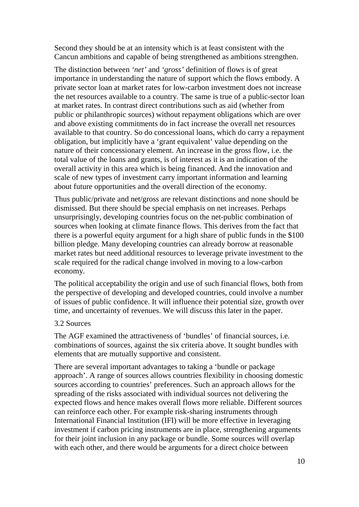Second they should be at an intensity which is at least consistent with the Cancun ambitions and capable of being strengthened as ambitions strengthen.

The distinction between *'net'* and *'gross'* definition of flows is of great importance in understanding the nature of support which the flows embody. A private sector loan at market rates for low-carbon investment does not increase the net resources available to a country. The same is true of a public-sector loan at market rates. In contrast direct contributions such as aid (whether from public or philanthropic sources) without repayment obligations which are over and above existing commitments do in fact increase the overall net resources available to that country. So do concessional loans, which do carry a repayment obligation, but implicitly have a 'grant equivalent' value depending on the nature of their concessionary element. An increase in the gross flow, i.e. the total value of the loans and grants, is of interest as it is an indication of the overall activity in this area which is being financed. And the innovation and scale of new types of investment carry important information and learning about future opportunities and the overall direction of the economy.

Thus public/private and net/gross are relevant distinctions and none should be dismissed. But there should be special emphasis on net increases. Perhaps unsurprisingly, developing countries focus on the net-public combination of sources when looking at climate finance flows. This derives from the fact that there is a powerful equity argument for a high share of public funds in the \$100 billion pledge. Many developing countries can already borrow at reasonable market rates but need additional resources to leverage private investment to the scale required for the radical change involved in moving to a low-carbon economy.

The political acceptability the origin and use of such financial flows, both from the perspective of developing and developed countries, could involve a number of issues of public confidence. It will influence their potential size, growth over time, and uncertainty of revenues. We will discuss this later in the paper.

#### 3.2 Sources

The AGF examined the attractiveness of 'bundles' of financial sources, i.e. combinations of sources, against the six criteria above. It sought bundles with elements that are mutually supportive and consistent.

There are several important advantages to taking a 'bundle or package approach'. A range of sources allows countries flexibility in choosing domestic sources according to countries' preferences. Such an approach allows for the spreading of the risks associated with individual sources not delivering the expected flows and hence makes overall flows more reliable. Different sources can reinforce each other. For example risk-sharing instruments through International Financial Institution (IFI) will be more effective in leveraging investment if carbon pricing instruments are in place, strengthening arguments for their joint inclusion in any package or bundle. Some sources will overlap with each other, and there would be arguments for a direct choice between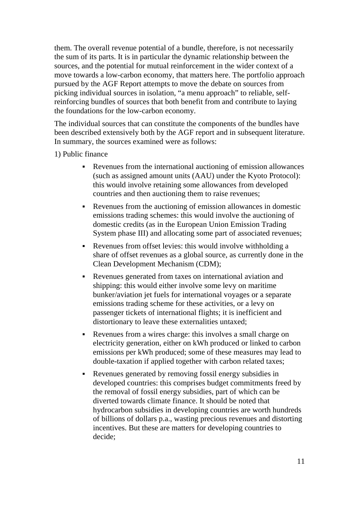them. The overall revenue potential of a bundle, therefore, is not necessarily the sum of its parts. It is in particular the dynamic relationship between the sources, and the potential for mutual reinforcement in the wider context of a move towards a low-carbon economy, that matters here. The portfolio approach pursued by the AGF Report attempts to move the debate on sources from picking individual sources in isolation, "a menu approach" to reliable, selfreinforcing bundles of sources that both benefit from and contribute to laying the foundations for the low-carbon economy.

The individual sources that can constitute the components of the bundles have been described extensively both by the AGF report and in subsequent literature. In summary, the sources examined were as follows:

1) Public finance

- Revenues from the international auctioning of emission allowances (such as assigned amount units (AAU) under the Kyoto Protocol): this would involve retaining some allowances from developed countries and then auctioning them to raise revenues;
- Revenues from the auctioning of emission allowances in domestic emissions trading schemes: this would involve the auctioning of domestic credits (as in the European Union Emission Trading System phase III) and allocating some part of associated revenues;
- Revenues from offset levies: this would involve withholding a share of offset revenues as a global source, as currently done in the Clean Development Mechanism (CDM);
- Revenues generated from taxes on international aviation and shipping: this would either involve some levy on maritime bunker/aviation jet fuels for international voyages or a separate emissions trading scheme for these activities, or a levy on passenger tickets of international flights; it is inefficient and distortionary to leave these externalities untaxed;
- Revenues from a wires charge: this involves a small charge on electricity generation, either on kWh produced or linked to carbon emissions per kWh produced; some of these measures may lead to double-taxation if applied together with carbon related taxes;
- Revenues generated by removing fossil energy subsidies in developed countries: this comprises budget commitments freed by the removal of fossil energy subsidies, part of which can be diverted towards climate finance. It should be noted that hydrocarbon subsidies in developing countries are worth hundreds of billions of dollars p.a., wasting precious revenues and distorting incentives. But these are matters for developing countries to decide;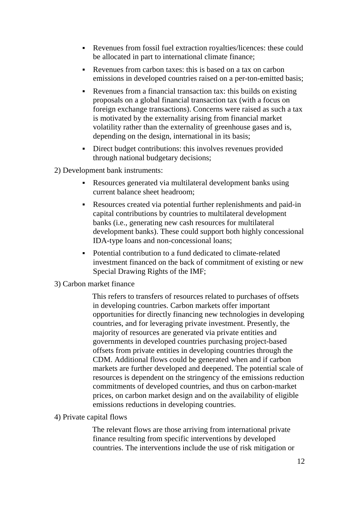- Revenues from fossil fuel extraction royalties/licences: these could be allocated in part to international climate finance;
- Revenues from carbon taxes: this is based on a tax on carbon emissions in developed countries raised on a per-ton-emitted basis;
- Revenues from a financial transaction tax: this builds on existing proposals on a global financial transaction tax (with a focus on foreign exchange transactions). Concerns were raised as such a tax is motivated by the externality arising from financial market volatility rather than the externality of greenhouse gases and is, depending on the design, international in its basis;
- Direct budget contributions: this involves revenues provided through national budgetary decisions;

2) Development bank instruments:

- Resources generated via multilateral development banks using current balance sheet headroom;
- Resources created via potential further replenishments and paid-in capital contributions by countries to multilateral development banks (i.e., generating new cash resources for multilateral development banks). These could support both highly concessional IDA-type loans and non-concessional loans;
- Potential contribution to a fund dedicated to climate-related investment financed on the back of commitment of existing or new Special Drawing Rights of the IMF;
- 3) Carbon market finance

This refers to transfers of resources related to purchases of offsets in developing countries. Carbon markets offer important opportunities for directly financing new technologies in developing countries, and for leveraging private investment. Presently, the majority of resources are generated via private entities and governments in developed countries purchasing project-based offsets from private entities in developing countries through the CDM. Additional flows could be generated when and if carbon markets are further developed and deepened. The potential scale of resources is dependent on the stringency of the emissions reduction commitments of developed countries, and thus on carbon-market prices, on carbon market design and on the availability of eligible emissions reductions in developing countries.

4) Private capital flows

The relevant flows are those arriving from international private finance resulting from specific interventions by developed countries. The interventions include the use of risk mitigation or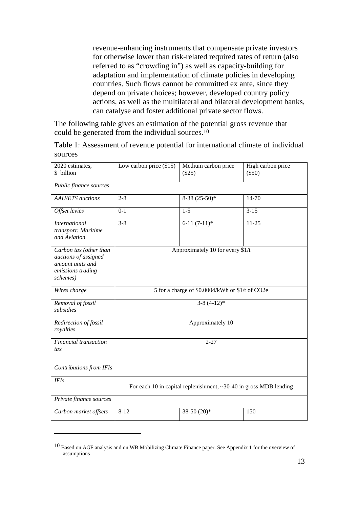revenue-enhancing instruments that compensate private investors for otherwise lower than risk-related required rates of return (also referred to as "crowding in") as well as capacity-building for adaptation and implementation of climate policies in developing countries. Such flows cannot be committed ex ante, since they depend on private choices; however, developed country policy actions, as well as the multilateral and bilateral development banks, can catalyse and foster additional private sector flows.

The following table gives an estimation of the potential gross revenue that could be generated from the individual sources.<sup>10</sup>

| Table 1: Assessment of revenue potential for international climate of individual |  |
|----------------------------------------------------------------------------------|--|
| sources                                                                          |  |

| 2020 estimates,<br>\$ billion                                                                       | Low carbon price $(\$15)$                                               | Medium carbon price<br>(\$25) | High carbon price<br>$(\$50)$ |
|-----------------------------------------------------------------------------------------------------|-------------------------------------------------------------------------|-------------------------------|-------------------------------|
| Public finance sources                                                                              |                                                                         |                               |                               |
| <b>AAU/ETS</b> auctions                                                                             | $2 - 8$                                                                 | $8-38(25-50)*$                | 14-70                         |
| Offset levies                                                                                       | $0 - 1$                                                                 | $1 - 5$                       | $3 - 15$                      |
| <b>International</b><br>transport: Maritime<br>and Aviation                                         | $3 - 8$                                                                 | $6-11(7-11)*$                 | $11 - 25$                     |
| Carbon tax (other than<br>auctions of assigned<br>amount units and<br>emissions trading<br>schemes) | Approximately 10 for every \$1/t                                        |                               |                               |
| Wires charge                                                                                        | 5 for a charge of \$0.0004/kWh or \$1/t of CO2e                         |                               |                               |
| Removal of fossil<br>subsidies                                                                      | $3-8(4-12)*$                                                            |                               |                               |
| Redirection of fossil<br>royalties                                                                  | Approximately 10                                                        |                               |                               |
| Financial transaction<br>tax                                                                        | $2 - 27$                                                                |                               |                               |
| Contributions from IFIs                                                                             |                                                                         |                               |                               |
| <b>IFIs</b>                                                                                         | For each 10 in capital replenishment, $\sim$ 30-40 in gross MDB lending |                               |                               |
| Private finance sources                                                                             |                                                                         |                               |                               |
| Carbon market offsets                                                                               | $8 - 12$                                                                | 38-50 $(20)*$                 | 150                           |

<sup>10</sup> Based on AGF analysis and on WB Mobilizing Climate Finance paper. See Appendix 1 for the overview of assumptions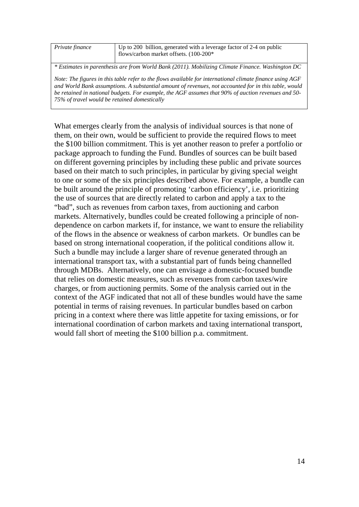| Private finance                                                                                            | Up to 200 billion, generated with a leverage factor of 2-4 on public |  |
|------------------------------------------------------------------------------------------------------------|----------------------------------------------------------------------|--|
|                                                                                                            |                                                                      |  |
|                                                                                                            | flows/carbon market offsets. (100-200*                               |  |
|                                                                                                            |                                                                      |  |
|                                                                                                            |                                                                      |  |
| * Estimates in parenthesis are from World Bank (2011). Mobilizing Climate Finance. Washington DC           |                                                                      |  |
|                                                                                                            |                                                                      |  |
| Note: The figures in this table refer to the flows available for international climate finance using $AGF$ |                                                                      |  |
|                                                                                                            |                                                                      |  |
| and World Bank assumptions. A substantial amount of revenues, not accounted for in this table, would       |                                                                      |  |
| be retained in national budgets. For example, the AGF assumes that 90% of auction revenues and 50-         |                                                                      |  |
| 75% of travel would be retained domestically                                                               |                                                                      |  |
|                                                                                                            |                                                                      |  |

What emerges clearly from the analysis of individual sources is that none of them, on their own, would be sufficient to provide the required flows to meet the \$100 billion commitment. This is yet another reason to prefer a portfolio or package approach to funding the Fund. Bundles of sources can be built based on different governing principles by including these public and private sources based on their match to such principles, in particular by giving special weight to one or some of the six principles described above. For example, a bundle can be built around the principle of promoting 'carbon efficiency', i.e. prioritizing the use of sources that are directly related to carbon and apply a tax to the "bad", such as revenues from carbon taxes, from auctioning and carbon markets. Alternatively, bundles could be created following a principle of nondependence on carbon markets if, for instance, we want to ensure the reliability of the flows in the absence or weakness of carbon markets. Or bundles can be based on strong international cooperation, if the political conditions allow it. Such a bundle may include a larger share of revenue generated through an international transport tax, with a substantial part of funds being channelled through MDBs. Alternatively, one can envisage a domestic-focused bundle that relies on domestic measures, such as revenues from carbon taxes/wire charges, or from auctioning permits. Some of the analysis carried out in the context of the AGF indicated that not all of these bundles would have the same potential in terms of raising revenues. In particular bundles based on carbon pricing in a context where there was little appetite for taxing emissions, or for international coordination of carbon markets and taxing international transport, would fall short of meeting the \$100 billion p.a. commitment.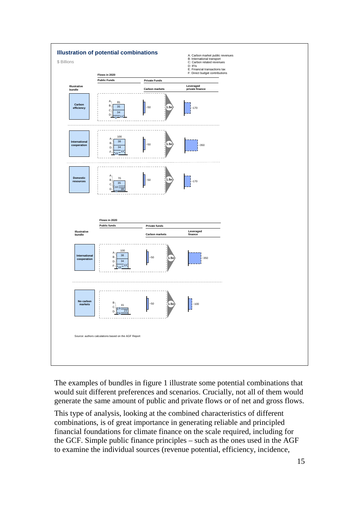

The examples of bundles in figure 1 illustrate some potential combinations that would suit different preferences and scenarios. Crucially, not all of them would generate the same amount of public and private flows or of net and gross flows.

This type of analysis, looking at the combined characteristics of different combinations, is of great importance in generating reliable and principled financial foundations for climate finance on the scale required, including for the GCF. Simple public finance principles – such as the ones used in the AGF to examine the individual sources (revenue potential, efficiency, incidence,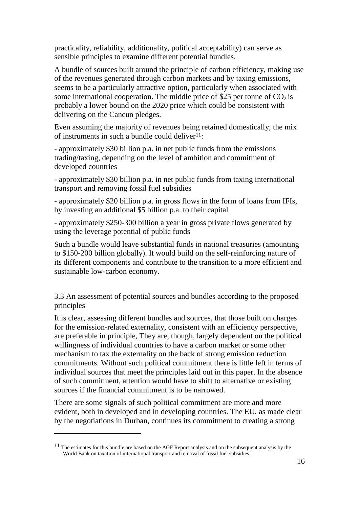practicality, reliability, additionality, political acceptability) can serve as sensible principles to examine different potential bundles.

A bundle of sources built around the principle of carbon efficiency, making use of the revenues generated through carbon markets and by taxing emissions, seems to be a particularly attractive option, particularly when associated with some international cooperation. The middle price of \$25 per tonne of  $CO<sub>2</sub>$  is probably a lower bound on the 2020 price which could be consistent with delivering on the Cancun pledges.

Even assuming the majority of revenues being retained domestically, the mix of instruments in such a bundle could deliver $1!$ :

- approximately \$30 billion p.a. in net public funds from the emissions trading/taxing, depending on the level of ambition and commitment of developed countries

- approximately \$30 billion p.a. in net public funds from taxing international transport and removing fossil fuel subsidies

- approximately \$20 billion p.a. in gross flows in the form of loans from IFIs, by investing an additional \$5 billion p.a. to their capital

- approximately \$250-300 billion a year in gross private flows generated by using the leverage potential of public funds

Such a bundle would leave substantial funds in national treasuries (amounting to \$150-200 billion globally). It would build on the self-reinforcing nature of its different components and contribute to the transition to a more efficient and sustainable low-carbon economy.

3.3 An assessment of potential sources and bundles according to the proposed principles

It is clear, assessing different bundles and sources, that those built on charges for the emission-related externality, consistent with an efficiency perspective, are preferable in principle, They are, though, largely dependent on the political willingness of individual countries to have a carbon market or some other mechanism to tax the externality on the back of strong emission reduction commitments. Without such political commitment there is little left in terms of individual sources that meet the principles laid out in this paper. In the absence of such commitment, attention would have to shift to alternative or existing sources if the financial commitment is to be narrowed.

There are some signals of such political commitment are more and more evident, both in developed and in developing countries. The EU, as made clear by the negotiations in Durban, continues its commitment to creating a strong

<sup>&</sup>lt;sup>11</sup> The estimates for this bundle are based on the AGF Report analysis and on the subsequent analysis by the World Bank on taxation of international transport and removal of fossil fuel subsidies.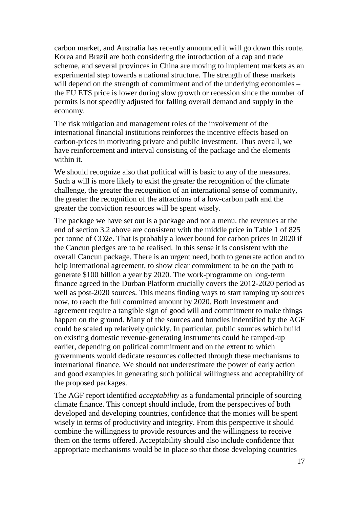carbon market, and Australia has recently announced it will go down this route. Korea and Brazil are both considering the introduction of a cap and trade scheme, and several provinces in China are moving to implement markets as an experimental step towards a national structure. The strength of these markets will depend on the strength of commitment and of the underlying economies – the EU ETS price is lower during slow growth or recession since the number of permits is not speedily adjusted for falling overall demand and supply in the economy.

The risk mitigation and management roles of the involvement of the international financial institutions reinforces the incentive effects based on carbon-prices in motivating private and public investment. Thus overall, we have reinforcement and interval consisting of the package and the elements within it.

We should recognize also that political will is basic to any of the measures. Such a will is more likely to exist the greater the recognition of the climate challenge, the greater the recognition of an international sense of community, the greater the recognition of the attractions of a low-carbon path and the greater the conviction resources will be spent wisely.

The package we have set out is a package and not a menu. the revenues at the end of section 3.2 above are consistent with the middle price in Table 1 of 825 per tonne of CO2e. That is probably a lower bound for carbon prices in 2020 if the Cancun pledges are to be realised. In this sense it is consistent with the overall Cancun package. There is an urgent need, both to generate action and to help international agreement, to show clear commitment to be on the path to generate \$100 billion a year by 2020. The work-programme on long-term finance agreed in the Durban Platform crucially covers the 2012-2020 period as well as post-2020 sources. This means finding ways to start ramping up sources now, to reach the full committed amount by 2020. Both investment and agreement require a tangible sign of good will and commitment to make things happen on the ground. Many of the sources and bundles indentified by the AGF could be scaled up relatively quickly. In particular, public sources which build on existing domestic revenue-generating instruments could be ramped-up earlier, depending on political commitment and on the extent to which governments would dedicate resources collected through these mechanisms to international finance. We should not underestimate the power of early action and good examples in generating such political willingness and acceptability of the proposed packages.

The AGF report identified *acceptability* as a fundamental principle of sourcing climate finance. This concept should include, from the perspectives of both developed and developing countries, confidence that the monies will be spent wisely in terms of productivity and integrity. From this perspective it should combine the willingness to provide resources and the willingness to receive them on the terms offered. Acceptability should also include confidence that appropriate mechanisms would be in place so that those developing countries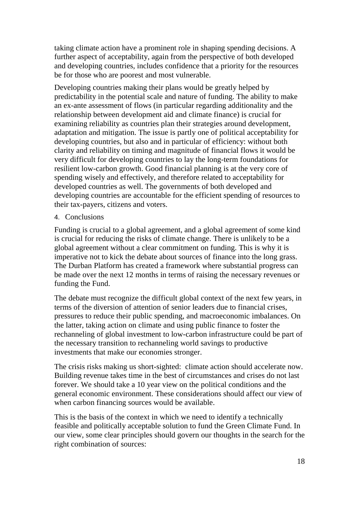taking climate action have a prominent role in shaping spending decisions. A further aspect of acceptability, again from the perspective of both developed and developing countries, includes confidence that a priority for the resources be for those who are poorest and most vulnerable.

Developing countries making their plans would be greatly helped by predictability in the potential scale and nature of funding. The ability to make an ex-ante assessment of flows (in particular regarding additionality and the relationship between development aid and climate finance) is crucial for examining reliability as countries plan their strategies around development, adaptation and mitigation. The issue is partly one of political acceptability for developing countries, but also and in particular of efficiency: without both clarity and reliability on timing and magnitude of financial flows it would be very difficult for developing countries to lay the long-term foundations for resilient low-carbon growth. Good financial planning is at the very core of spending wisely and effectively, and therefore related to acceptability for developed countries as well. The governments of both developed and developing countries are accountable for the efficient spending of resources to their tax-payers, citizens and voters.

#### 4. Conclusions

Funding is crucial to a global agreement, and a global agreement of some kind is crucial for reducing the risks of climate change. There is unlikely to be a global agreement without a clear commitment on funding. This is why it is imperative not to kick the debate about sources of finance into the long grass. The Durban Platform has created a framework where substantial progress can be made over the next 12 months in terms of raising the necessary revenues or funding the Fund.

The debate must recognize the difficult global context of the next few years, in terms of the diversion of attention of senior leaders due to financial crises, pressures to reduce their public spending, and macroeconomic imbalances. On the latter, taking action on climate and using public finance to foster the rechanneling of global investment to low-carbon infrastructure could be part of the necessary transition to rechanneling world savings to productive investments that make our economies stronger.

The crisis risks making us short-sighted: climate action should accelerate now. Building revenue takes time in the best of circumstances and crises do not last forever. We should take a 10 year view on the political conditions and the general economic environment. These considerations should affect our view of when carbon financing sources would be available.

This is the basis of the context in which we need to identify a technically feasible and politically acceptable solution to fund the Green Climate Fund. In our view, some clear principles should govern our thoughts in the search for the right combination of sources: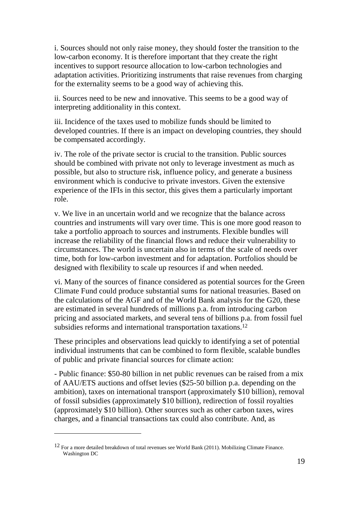i. Sources should not only raise money, they should foster the transition to the low-carbon economy. It is therefore important that they create the right incentives to support resource allocation to low-carbon technologies and adaptation activities. Prioritizing instruments that raise revenues from charging for the externality seems to be a good way of achieving this.

ii. Sources need to be new and innovative. This seems to be a good way of interpreting additionality in this context.

iii. Incidence of the taxes used to mobilize funds should be limited to developed countries. If there is an impact on developing countries, they should be compensated accordingly.

iv. The role of the private sector is crucial to the transition. Public sources should be combined with private not only to leverage investment as much as possible, but also to structure risk, influence policy, and generate a business environment which is conducive to private investors. Given the extensive experience of the IFIs in this sector, this gives them a particularly important role.

v. We live in an uncertain world and we recognize that the balance across countries and instruments will vary over time. This is one more good reason to take a portfolio approach to sources and instruments. Flexible bundles will increase the reliability of the financial flows and reduce their vulnerability to circumstances. The world is uncertain also in terms of the scale of needs over time, both for low-carbon investment and for adaptation. Portfolios should be designed with flexibility to scale up resources if and when needed.

vi. Many of the sources of finance considered as potential sources for the Green Climate Fund could produce substantial sums for national treasuries. Based on the calculations of the AGF and of the World Bank analysis for the G20, these are estimated in several hundreds of millions p.a. from introducing carbon pricing and associated markets, and several tens of billions p.a. from fossil fuel subsidies reforms and international transportation taxations.<sup>12</sup>

These principles and observations lead quickly to identifying a set of potential individual instruments that can be combined to form flexible, scalable bundles of public and private financial sources for climate action:

- Public finance: \$50-80 billion in net public revenues can be raised from a mix of AAU/ETS auctions and offset levies (\$25-50 billion p.a. depending on the ambition), taxes on international transport (approximately \$10 billion), removal of fossil subsidies (approximately \$10 billion), redirection of fossil royalties (approximately \$10 billion). Other sources such as other carbon taxes, wires charges, and a financial transactions tax could also contribute. And, as

<sup>12</sup> For a more detailed breakdown of total revenues see World Bank (2011). Mobilizing Climate Finance. Washington DC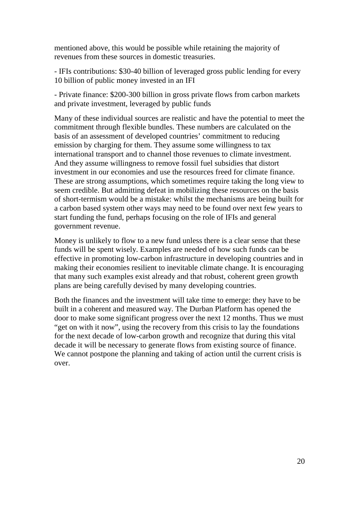mentioned above, this would be possible while retaining the majority of revenues from these sources in domestic treasuries.

- IFIs contributions: \$30-40 billion of leveraged gross public lending for every 10 billion of public money invested in an IFI

- Private finance: \$200-300 billion in gross private flows from carbon markets and private investment, leveraged by public funds

Many of these individual sources are realistic and have the potential to meet the commitment through flexible bundles. These numbers are calculated on the basis of an assessment of developed countries' commitment to reducing emission by charging for them. They assume some willingness to tax international transport and to channel those revenues to climate investment. And they assume willingness to remove fossil fuel subsidies that distort investment in our economies and use the resources freed for climate finance. These are strong assumptions, which sometimes require taking the long view to seem credible. But admitting defeat in mobilizing these resources on the basis of short-termism would be a mistake: whilst the mechanisms are being built for a carbon based system other ways may need to be found over next few years to start funding the fund, perhaps focusing on the role of IFIs and general government revenue.

Money is unlikely to flow to a new fund unless there is a clear sense that these funds will be spent wisely. Examples are needed of how such funds can be effective in promoting low-carbon infrastructure in developing countries and in making their economies resilient to inevitable climate change. It is encouraging that many such examples exist already and that robust, coherent green growth plans are being carefully devised by many developing countries.

Both the finances and the investment will take time to emerge: they have to be built in a coherent and measured way. The Durban Platform has opened the door to make some significant progress over the next 12 months. Thus we must "get on with it now", using the recovery from this crisis to lay the foundations for the next decade of low-carbon growth and recognize that during this vital decade it will be necessary to generate flows from existing source of finance. We cannot postpone the planning and taking of action until the current crisis is over.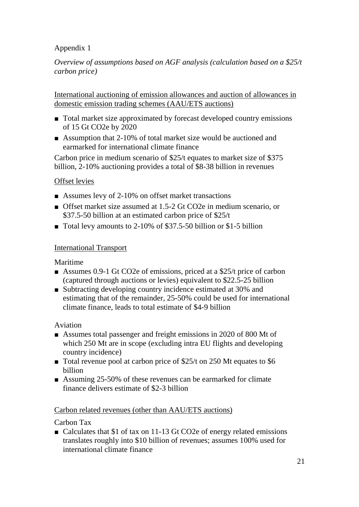## Appendix 1

*Overview of assumptions based on AGF analysis (calculation based on a \$25/t carbon price)* 

International auctioning of emission allowances and auction of allowances in domestic emission trading schemes (AAU/ETS auctions)

- Total market size approximated by forecast developed country emissions of 15 Gt CO2e by 2020
- Assumption that 2-10% of total market size would be auctioned and earmarked for international climate finance

Carbon price in medium scenario of \$25/t equates to market size of \$375 billion, 2-10% auctioning provides a total of \$8-38 billion in revenues

## Offset levies

- Assumes levy of 2-10% on offset market transactions
- Offset market size assumed at 1.5-2 Gt CO2e in medium scenario, or \$37.5-50 billion at an estimated carbon price of \$25/t
- Total levy amounts to 2-10% of \$37.5-50 billion or \$1-5 billion

## International Transport

Maritime

- Assumes 0.9-1 Gt CO2e of emissions, priced at a \$25/t price of carbon (captured through auctions or levies) equivalent to \$22.5-25 billion
- Subtracting developing country incidence estimated at 30% and estimating that of the remainder, 25-50% could be used for international climate finance, leads to total estimate of \$4-9 billion

### Aviation

- Assumes total passenger and freight emissions in 2020 of 800 Mt of which 250 Mt are in scope (excluding intra EU flights and developing country incidence)
- Total revenue pool at carbon price of \$25/t on 250 Mt equates to \$6 billion
- Assuming 25-50% of these revenues can be earmarked for climate finance delivers estimate of \$2-3 billion

### Carbon related revenues (other than AAU/ETS auctions)

Carbon Tax

■ Calculates that \$1 of tax on 11-13 Gt CO2e of energy related emissions translates roughly into \$10 billion of revenues; assumes 100% used for international climate finance